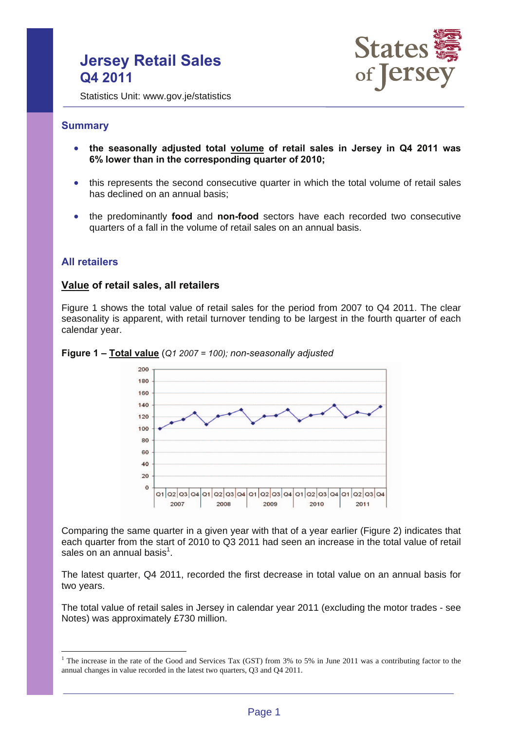# **Jersey Retail Sales Q4 2011**



Statistics Unit: www.gov.je/statistics

# **Summary**

- **the seasonally adjusted total volume of retail sales in Jersey in Q4 2011 was 6% lower than in the corresponding quarter of 2010;**
- this represents the second consecutive quarter in which the total volume of retail sales has declined on an annual basis;
- the predominantly **food** and **non-food** sectors have each recorded two consecutive quarters of a fall in the volume of retail sales on an annual basis.

# **All retailers**

 $\overline{a}$ 

## **Value of retail sales, all retailers**

Figure 1 shows the total value of retail sales for the period from 2007 to Q4 2011. The clear seasonality is apparent, with retail turnover tending to be largest in the fourth quarter of each calendar year.



#### **Figure 1 – Total value** (*Q1 2007 = 100); non-seasonally adjusted*

Comparing the same quarter in a given year with that of a year earlier (Figure 2) indicates that each quarter from the start of 2010 to Q3 2011 had seen an increase in the total value of retail sales on an annual basis $^1$ .

The latest quarter, Q4 2011, recorded the first decrease in total value on an annual basis for two years.

The total value of retail sales in Jersey in calendar year 2011 (excluding the motor trades - see Notes) was approximately £730 million.

<sup>&</sup>lt;sup>1</sup> The increase in the rate of the Good and Services Tax (GST) from 3% to 5% in June 2011 was a contributing factor to the annual changes in value recorded in the latest two quarters, Q3 and Q4 2011.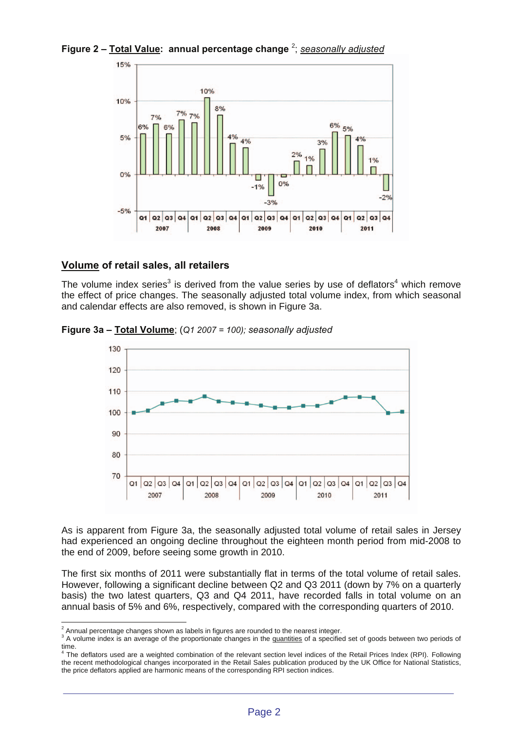**Figure 2 – Total Value: annual percentage change** <sup>2</sup> ; *seasonally adjusted*



# **Volume of retail sales, all retailers**

The volume index series<sup>3</sup> is derived from the value series by use of deflators<sup>4</sup> which remove the effect of price changes. The seasonally adjusted total volume index, from which seasonal and calendar effects are also removed, is shown in Figure 3a.



**Figure 3a – Total Volume**; (*Q1 2007 = 100); seasonally adjusted*

As is apparent from Figure 3a, the seasonally adjusted total volume of retail sales in Jersey had experienced an ongoing decline throughout the eighteen month period from mid-2008 to the end of 2009, before seeing some growth in 2010.

The first six months of 2011 were substantially flat in terms of the total volume of retail sales. However, following a significant decline between Q2 and Q3 2011 (down by 7% on a quarterly basis) the two latest quarters, Q3 and Q4 2011, have recorded falls in total volume on an annual basis of 5% and 6%, respectively, compared with the corresponding quarters of 2010.

<sup>&</sup>lt;sup>2</sup> Annual percentage changes shown as labels in figures are rounded to the nearest integer.<br><sup>3</sup> A velume index is an overage of the preparticulate changes in the quantities of a specific

<sup>&</sup>lt;sup>3</sup> A volume index is an average of the proportionate changes in the quantities of a specified set of goods between two periods of time.<br><sup>4</sup> The deflators used are a weighted combination of the relevant section level indices of the Retail Prices Index (RPI). Following

the recent methodological changes incorporated in the Retail Sales publication produced by the UK Office for National Statistics, the price deflators applied are harmonic means of the corresponding RPI section indices.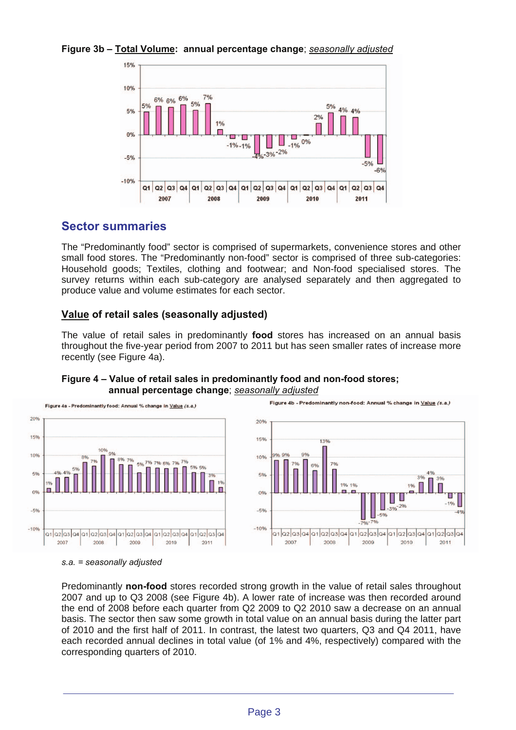# **Figure 3b – Total Volume: annual percentage change**; *seasonally adjusted*



# **Sector summaries**

The "Predominantly food" sector is comprised of supermarkets, convenience stores and other small food stores. The "Predominantly non-food" sector is comprised of three sub-categories: Household goods; Textiles, clothing and footwear; and Non-food specialised stores. The survey returns within each sub-category are analysed separately and then aggregated to produce value and volume estimates for each sector.

# **Value of retail sales (seasonally adjusted)**

The value of retail sales in predominantly **food** stores has increased on an annual basis throughout the five-year period from 2007 to 2011 but has seen smaller rates of increase more recently (see Figure 4a).



## **Figure 4 – Value of retail sales in predominantly food and non-food stores; annual percentage change**; *seasonally adjusted*

#### *s.a. = seasonally adjusted*

Predominantly **non-food** stores recorded strong growth in the value of retail sales throughout 2007 and up to Q3 2008 (see Figure 4b). A lower rate of increase was then recorded around the end of 2008 before each quarter from Q2 2009 to Q2 2010 saw a decrease on an annual basis. The sector then saw some growth in total value on an annual basis during the latter part of 2010 and the first half of 2011. In contrast, the latest two quarters, Q3 and Q4 2011, have each recorded annual declines in total value (of 1% and 4%, respectively) compared with the corresponding quarters of 2010.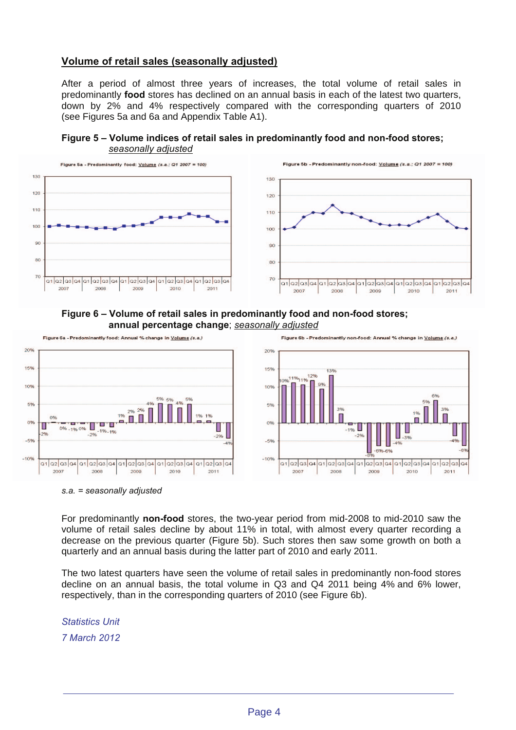# **Volume of retail sales (seasonally adjusted)**

After a period of almost three years of increases, the total volume of retail sales in predominantly **food** stores has declined on an annual basis in each of the latest two quarters, down by 2% and 4% respectively compared with the corresponding quarters of 2010 (see Figures 5a and 6a and Appendix Table A1).

**Figure 5 – Volume indices of retail sales in predominantly food and non-food stores;** *seasonally adjusted*



## **Figure 6 – Volume of retail sales in predominantly food and non-food stores; annual percentage change**; *seasonally adjusted*



#### *s.a. = seasonally adjusted*

For predominantly **non-food** stores, the two-year period from mid-2008 to mid-2010 saw the volume of retail sales decline by about 11% in total, with almost every quarter recording a decrease on the previous quarter (Figure 5b). Such stores then saw some growth on both a quarterly and an annual basis during the latter part of 2010 and early 2011.

The two latest quarters have seen the volume of retail sales in predominantly non-food stores decline on an annual basis, the total volume in Q3 and Q4 2011 being 4% and 6% lower, respectively, than in the corresponding quarters of 2010 (see Figure 6b).

*Statistics Unit 7 March 2012*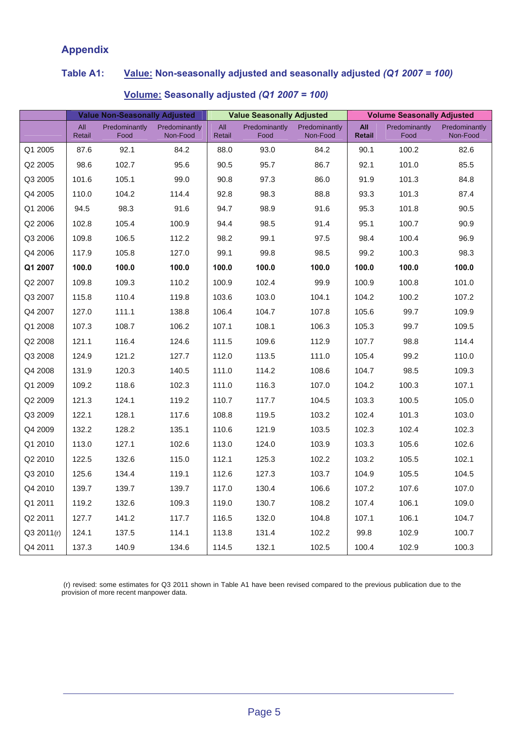# **Appendix**

# **Table A1: Value: Non-seasonally adjusted and seasonally adjusted** *(Q1 2007 = 100)*

|            | <b>Value Non-Seasonally Adjusted</b> |                       |                           | <b>Value Seasonally Adjusted</b> |                       |                           | <b>Volume Seasonally Adjusted</b> |                       |                           |
|------------|--------------------------------------|-----------------------|---------------------------|----------------------------------|-----------------------|---------------------------|-----------------------------------|-----------------------|---------------------------|
|            | All<br>Retail                        | Predominantly<br>Food | Predominantly<br>Non-Food | All<br>Retail                    | Predominantly<br>Food | Predominantly<br>Non-Food | All<br><b>Retail</b>              | Predominantly<br>Food | Predominantly<br>Non-Food |
| Q1 2005    | 87.6                                 | 92.1                  | 84.2                      | 88.0                             | 93.0                  | 84.2                      | 90.1                              | 100.2                 | 82.6                      |
| Q2 2005    | 98.6                                 | 102.7                 | 95.6                      | 90.5                             | 95.7                  | 86.7                      | 92.1                              | 101.0                 | 85.5                      |
| Q3 2005    | 101.6                                | 105.1                 | 99.0                      | 90.8                             | 97.3                  | 86.0                      | 91.9                              | 101.3                 | 84.8                      |
| Q4 2005    | 110.0                                | 104.2                 | 114.4                     | 92.8                             | 98.3                  | 88.8                      | 93.3                              | 101.3                 | 87.4                      |
| Q1 2006    | 94.5                                 | 98.3                  | 91.6                      | 94.7                             | 98.9                  | 91.6                      | 95.3                              | 101.8                 | 90.5                      |
| Q2 2006    | 102.8                                | 105.4                 | 100.9                     | 94.4                             | 98.5                  | 91.4                      | 95.1                              | 100.7                 | 90.9                      |
| Q3 2006    | 109.8                                | 106.5                 | 112.2                     | 98.2                             | 99.1                  | 97.5                      | 98.4                              | 100.4                 | 96.9                      |
| Q4 2006    | 117.9                                | 105.8                 | 127.0                     | 99.1                             | 99.8                  | 98.5                      | 99.2                              | 100.3                 | 98.3                      |
| Q1 2007    | 100.0                                | 100.0                 | 100.0                     | 100.0                            | 100.0                 | 100.0                     | 100.0                             | 100.0                 | 100.0                     |
| Q2 2007    | 109.8                                | 109.3                 | 110.2                     | 100.9                            | 102.4                 | 99.9                      | 100.9                             | 100.8                 | 101.0                     |
| Q3 2007    | 115.8                                | 110.4                 | 119.8                     | 103.6                            | 103.0                 | 104.1                     | 104.2                             | 100.2                 | 107.2                     |
| Q4 2007    | 127.0                                | 111.1                 | 138.8                     | 106.4                            | 104.7                 | 107.8                     | 105.6                             | 99.7                  | 109.9                     |
| Q1 2008    | 107.3                                | 108.7                 | 106.2                     | 107.1                            | 108.1                 | 106.3                     | 105.3                             | 99.7                  | 109.5                     |
| Q2 2008    | 121.1                                | 116.4                 | 124.6                     | 111.5                            | 109.6                 | 112.9                     | 107.7                             | 98.8                  | 114.4                     |
| Q3 2008    | 124.9                                | 121.2                 | 127.7                     | 112.0                            | 113.5                 | 111.0                     | 105.4                             | 99.2                  | 110.0                     |
| Q4 2008    | 131.9                                | 120.3                 | 140.5                     | 111.0                            | 114.2                 | 108.6                     | 104.7                             | 98.5                  | 109.3                     |
| Q1 2009    | 109.2                                | 118.6                 | 102.3                     | 111.0                            | 116.3                 | 107.0                     | 104.2                             | 100.3                 | 107.1                     |
| Q2 2009    | 121.3                                | 124.1                 | 119.2                     | 110.7                            | 117.7                 | 104.5                     | 103.3                             | 100.5                 | 105.0                     |
| Q3 2009    | 122.1                                | 128.1                 | 117.6                     | 108.8                            | 119.5                 | 103.2                     | 102.4                             | 101.3                 | 103.0                     |
| Q4 2009    | 132.2                                | 128.2                 | 135.1                     | 110.6                            | 121.9                 | 103.5                     | 102.3                             | 102.4                 | 102.3                     |
| Q1 2010    | 113.0                                | 127.1                 | 102.6                     | 113.0                            | 124.0                 | 103.9                     | 103.3                             | 105.6                 | 102.6                     |
| Q2 2010    | 122.5                                | 132.6                 | 115.0                     | 112.1                            | 125.3                 | 102.2                     | 103.2                             | 105.5                 | 102.1                     |
| Q3 2010    | 125.6                                | 134.4                 | 119.1                     | 112.6                            | 127.3                 | 103.7                     | 104.9                             | 105.5                 | 104.5                     |
| Q4 2010    | 139.7                                | 139.7                 | 139.7                     | 117.0                            | 130.4                 | 106.6                     | 107.2                             | 107.6                 | 107.0                     |
| Q1 2011    | 119.2                                | 132.6                 | 109.3                     | 119.0                            | 130.7                 | 108.2                     | 107.4                             | 106.1                 | 109.0                     |
| Q2 2011    | 127.7                                | 141.2                 | 117.7                     | 116.5                            | 132.0                 | 104.8                     | 107.1                             | 106.1                 | 104.7                     |
| Q3 2011(r) | 124.1                                | 137.5                 | 114.1                     | 113.8                            | 131.4                 | 102.2                     | 99.8                              | 102.9                 | 100.7                     |
| Q4 2011    | 137.3                                | 140.9                 | 134.6                     | 114.5                            | 132.1                 | 102.5                     | 100.4                             | 102.9                 | 100.3                     |

# **Volume: Seasonally adjusted** *(Q1 2007 = 100)*

 (r) revised: some estimates for Q3 2011 shown in Table A1 have been revised compared to the previous publication due to the provision of more recent manpower data.